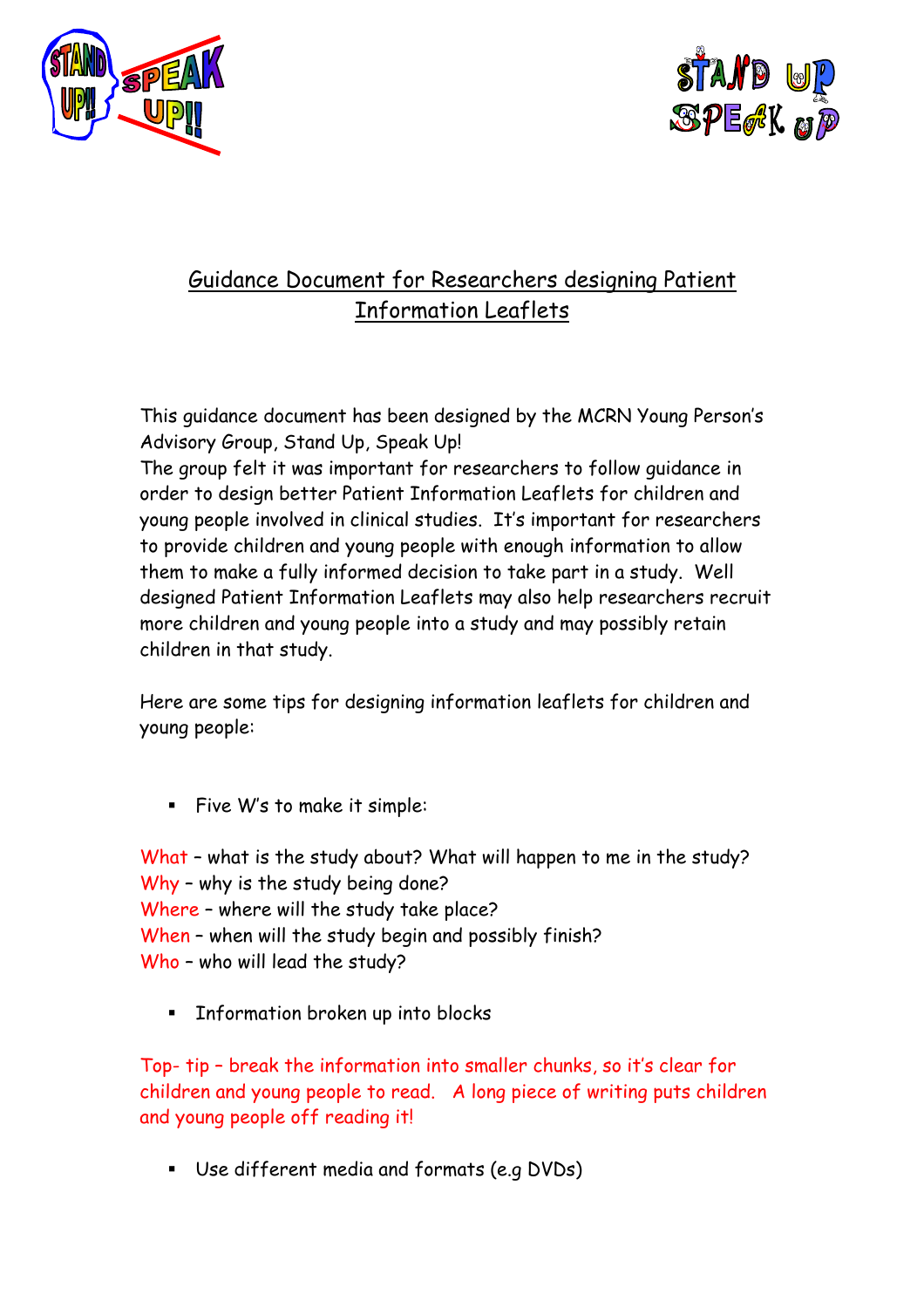



## Guidance Document for Researchers designing Patient Information Leaflets

This guidance document has been designed by the MCRN Young Person's Advisory Group, Stand Up, Speak Up!

The group felt it was important for researchers to follow guidance in order to design better Patient Information Leaflets for children and young people involved in clinical studies. It's important for researchers to provide children and young people with enough information to allow them to make a fully informed decision to take part in a study. Well designed Patient Information Leaflets may also help researchers recruit more children and young people into a study and may possibly retain children in that study.

Here are some tips for designing information leaflets for children and young people:

Five W's to make it simple:

What – what is the study about? What will happen to me in the study? Why – why is the study being done? Where – where will the study take place? When – when will the study begin and possibly finish? Who – who will lead the study?

**Information broken up into blocks** 

Top- tip – break the information into smaller chunks, so it's clear for children and young people to read. A long piece of writing puts children and young people off reading it!

Use different media and formats (e.g DVDs)